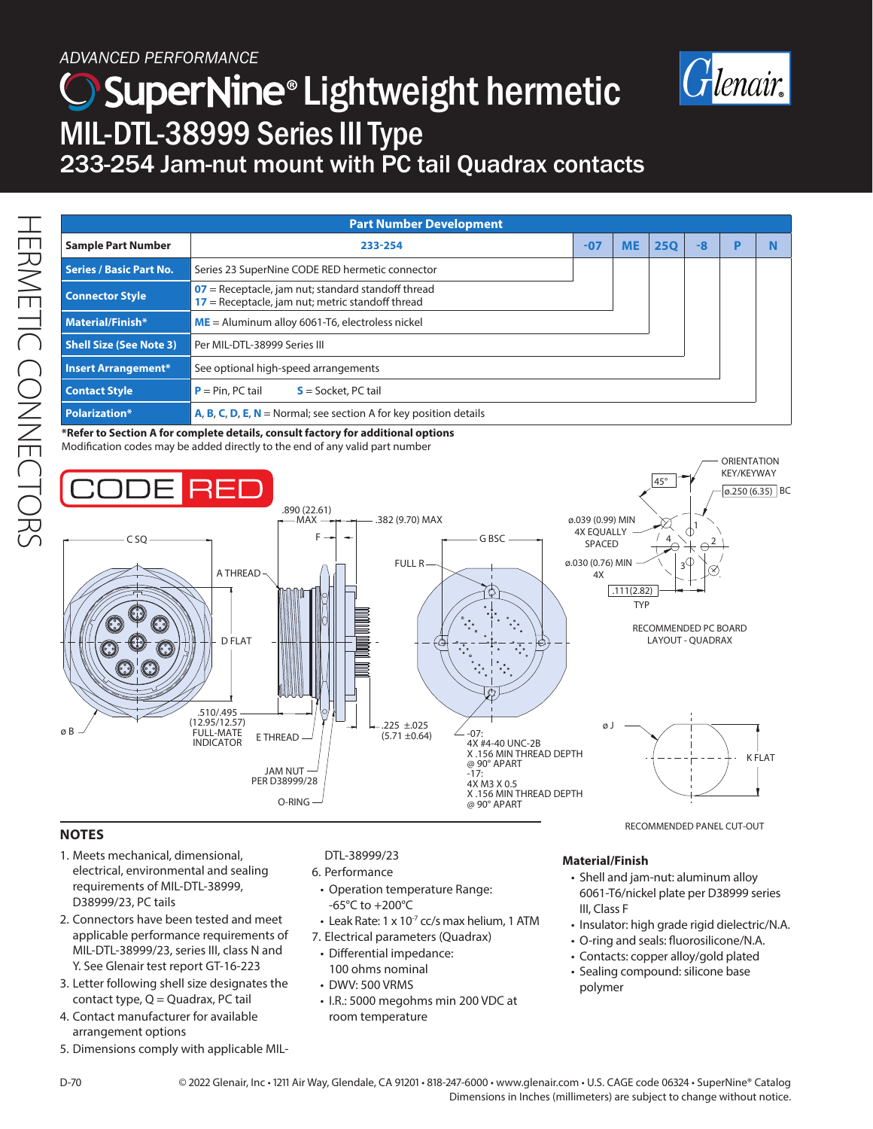## *ADVANCED PERFORMANCE*

# SuperNine® Lightweight hermetic MIL-DTL-38999 Series III Type 233-254 Jam-nut mount with PC tail Quadrax contacts



| <b>Part Number Development</b> |                                                                                                            |       |  |            |    |  |  |
|--------------------------------|------------------------------------------------------------------------------------------------------------|-------|--|------------|----|--|--|
| <b>Sample Part Number</b>      | 233-254                                                                                                    | $-07$ |  | <b>250</b> | -8 |  |  |
| <b>Series / Basic Part No.</b> | Series 23 SuperNine CODE RED hermetic connector                                                            |       |  |            |    |  |  |
| <b>Connector Style</b>         | $07$ = Receptacle, jam nut; standard standoff thread<br>$17$ = Receptacle, jam nut; metric standoff thread |       |  |            |    |  |  |
| <b>Material/Finish*</b>        | $ME =$ Aluminum alloy 6061-T6, electroless nickel                                                          |       |  |            |    |  |  |
| <b>Shell Size (See Note 3)</b> | Per MIL-DTL-38999 Series III                                                                               |       |  |            |    |  |  |
| <b>Insert Arrangement*</b>     | See optional high-speed arrangements                                                                       |       |  |            |    |  |  |
| <b>Contact Style</b>           | $P = Pin, PC tail$<br>$S =$ Socket, PC tail                                                                |       |  |            |    |  |  |
| <b>Polarization*</b>           | A, B, C, D, E, $N =$ Normal; see section A for key position details                                        |       |  |            |    |  |  |

**\*Refer to Section A for complete details, consult factory for additional options**  Modification codes may be added directly to the end of any valid part number



### **NOTES**

- 1. Meets mechanical, dimensional, electrical, environmental and sealing requirements of MIL-DTL-38999, D38999/23, PC tails
- 2. Connectors have been tested and meet applicable performance requirements of MIL-DTL-38999/23, series III, class N and Y. See Glenair test report GT-16-223
- 3. Letter following shell size designates the contact type,  $Q = Q$ uadrax, PC tail
- 4. Contact manufacturer for available arrangement options
- 5. Dimensions comply with applicable MIL-

#### DTL-38999/23

- 6. Performance
- Operation temperature Range: -65°C to +200°C
- $\cdot$  Leak Rate: 1 x 10<sup>-7</sup> cc/s max helium, 1 ATM
- 7. Electrical parameters (Quadrax)
- Differential impedance:
- 100 ohms nominal
- DWV: 500 VRMS
- I.R.: 5000 megohms min 200 VDC at room temperature

#### **Material/Finish**

- Shell and jam-nut: aluminum alloy 6061-T6/nickel plate per D38999 series III, Class F
- Insulator: high grade rigid dielectric/N.A.
- O-ring and seals: fluorosilicone/N.A.
- Contacts: copper alloy/gold plated
- Sealing compound: silicone base polymer

D-70 © 2022 Glenair, Inc • 1211 Air Way, Glendale, CA 91201 • 818-247-6000 • www.glenair.com • U.S. CAGE code 06324 • SuperNine® Catalog Dimensions in Inches (millimeters) are subject to change without notice.